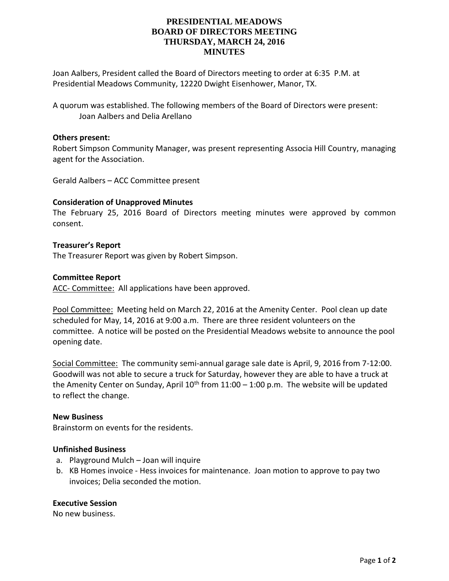# **PRESIDENTIAL MEADOWS BOARD OF DIRECTORS MEETING THURSDAY, MARCH 24, 2016 MINUTES**

Joan Aalbers, President called the Board of Directors meeting to order at 6:35 P.M. at Presidential Meadows Community, 12220 Dwight Eisenhower, Manor, TX.

A quorum was established. The following members of the Board of Directors were present: Joan Aalbers and Delia Arellano

## **Others present:**

Robert Simpson Community Manager, was present representing Associa Hill Country, managing agent for the Association.

Gerald Aalbers – ACC Committee present

## **Consideration of Unapproved Minutes**

The February 25, 2016 Board of Directors meeting minutes were approved by common consent.

### **Treasurer's Report**

The Treasurer Report was given by Robert Simpson.

### **Committee Report**

ACC- Committee: All applications have been approved.

Pool Committee: Meeting held on March 22, 2016 at the Amenity Center. Pool clean up date scheduled for May, 14, 2016 at 9:00 a.m. There are three resident volunteers on the committee. A notice will be posted on the Presidential Meadows website to announce the pool opening date.

Social Committee: The community semi-annual garage sale date is April, 9, 2016 from 7-12:00. Goodwill was not able to secure a truck for Saturday, however they are able to have a truck at the Amenity Center on Sunday, April  $10^{th}$  from  $11:00 - 1:00$  p.m. The website will be updated to reflect the change.

## **New Business**

Brainstorm on events for the residents.

### **Unfinished Business**

- a. Playground Mulch Joan will inquire
- b. KB Homes invoice Hess invoices for maintenance. Joan motion to approve to pay two invoices; Delia seconded the motion.

### **Executive Session**

No new business.